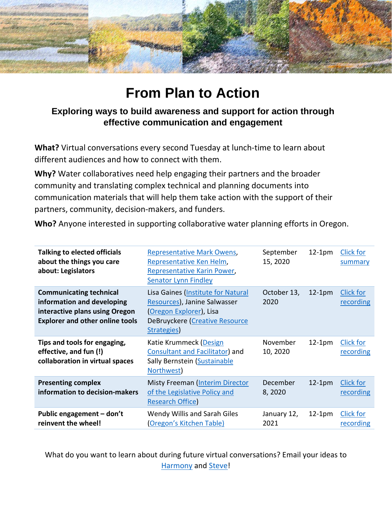

# **From Plan to Action**

### **Exploring ways to build awareness and support for action through effective communication and engagement**

**What?** Virtual conversations every second Tuesday at lunch-time to learn about different audiences and how to connect with them.

**Why?** Water collaboratives need help engaging their partners and the broader community and translating complex technical and planning documents into communication materials that will help them take action with the support of their partners, community, decision-makers, and funders.

**Who?** Anyone interested in supporting collaborative water planning efforts in Oregon.

| <b>Talking to elected officials</b><br>about the things you care<br>about: Legislators                                                   | <b>Representative Mark Owens,</b><br>Representative Ken Helm,<br><b>Representative Karin Power,</b><br><b>Senator Lynn Findley</b>                    | September<br>15, 2020 | $12-1pm$ | <b>Click for</b><br>summary   |
|------------------------------------------------------------------------------------------------------------------------------------------|-------------------------------------------------------------------------------------------------------------------------------------------------------|-----------------------|----------|-------------------------------|
| <b>Communicating technical</b><br>information and developing<br>interactive plans using Oregon<br><b>Explorer and other online tools</b> | Lisa Gaines (Institute for Natural<br>Resources), Janine Salwasser<br><b>Oregon Explorer</b> ), Lisa<br>DeBruyckere (Creative Resource<br>Strategies) | October 13,<br>2020   | $12-1pm$ | Click for<br>recording        |
| Tips and tools for engaging,<br>effective, and fun (!)<br>collaboration in virtual spaces                                                | Katie Krummeck (Design<br>Consultant and Facilitator) and<br>Sally Bernstein (Sustainable<br>Northwest)                                               | November<br>10, 2020  | $12-1pm$ | Click for<br>recording        |
| <b>Presenting complex</b><br>information to decision-makers                                                                              | <b>Misty Freeman (Interim Director</b><br>of the Legislative Policy and<br><b>Research Office)</b>                                                    | December<br>8,2020    | $12-1pm$ | Click for<br>recording        |
| Public engagement - don't<br>reinvent the wheel!                                                                                         | Wendy Willis and Sarah Giles<br>(Oregon's Kitchen Table)                                                                                              | January 12,<br>2021   | $12-1pm$ | <b>Click for</b><br>recording |

What do you want to learn about during future virtual conversations? Email your ideas to [Harmony](mailto:Harmony.S.Burright@oregon.gov) and [Steve!](mailto:Steve.W.Parrett@oregon.gov)